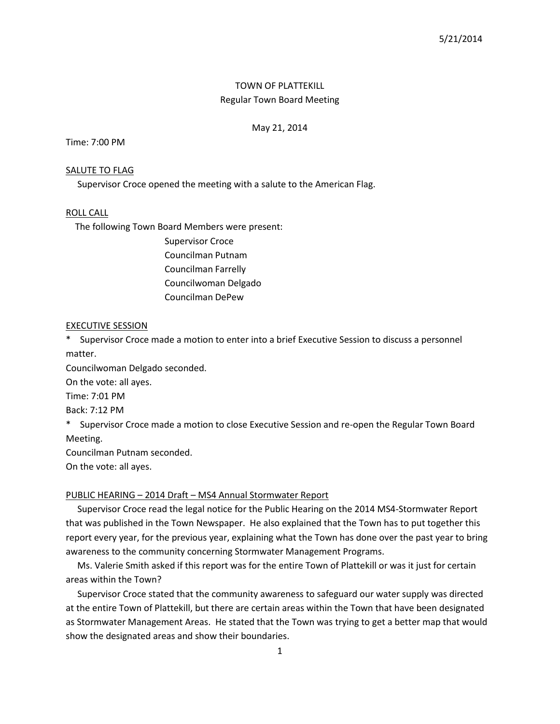# TOWN OF PLATTEKILL Regular Town Board Meeting

### May 21, 2014

## Time: 7:00 PM

## SALUTE TO FLAG

Supervisor Croce opened the meeting with a salute to the American Flag.

### ROLL CALL

The following Town Board Members were present:

Supervisor Croce Councilman Putnam Councilman Farrelly Councilwoman Delgado Councilman DePew

## EXECUTIVE SESSION

\* Supervisor Croce made a motion to enter into a brief Executive Session to discuss a personnel matter.

Councilwoman Delgado seconded.

On the vote: all ayes.

Time: 7:01 PM

Back: 7:12 PM

\* Supervisor Croce made a motion to close Executive Session and re-open the Regular Town Board Meeting.

Councilman Putnam seconded.

On the vote: all ayes.

## PUBLIC HEARING – 2014 Draft – MS4 Annual Stormwater Report

 Supervisor Croce read the legal notice for the Public Hearing on the 2014 MS4-Stormwater Report that was published in the Town Newspaper. He also explained that the Town has to put together this report every year, for the previous year, explaining what the Town has done over the past year to bring awareness to the community concerning Stormwater Management Programs.

 Ms. Valerie Smith asked if this report was for the entire Town of Plattekill or was it just for certain areas within the Town?

 Supervisor Croce stated that the community awareness to safeguard our water supply was directed at the entire Town of Plattekill, but there are certain areas within the Town that have been designated as Stormwater Management Areas. He stated that the Town was trying to get a better map that would show the designated areas and show their boundaries.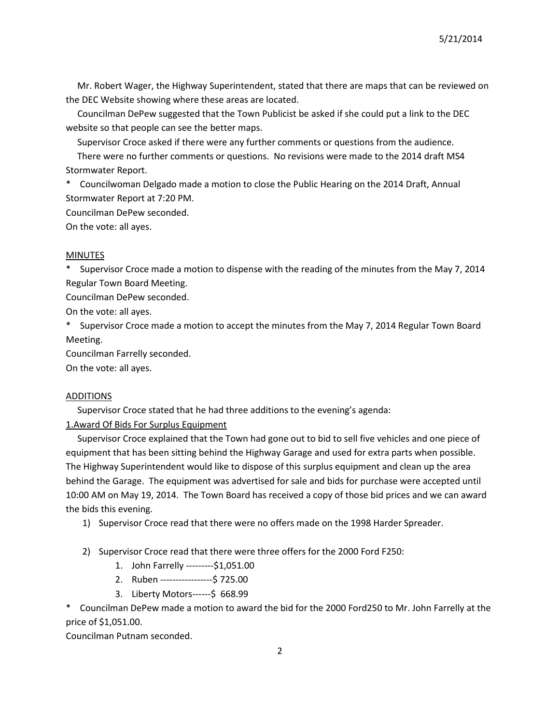5/21/2014

 Mr. Robert Wager, the Highway Superintendent, stated that there are maps that can be reviewed on the DEC Website showing where these areas are located.

 Councilman DePew suggested that the Town Publicist be asked if she could put a link to the DEC website so that people can see the better maps.

Supervisor Croce asked if there were any further comments or questions from the audience.

 There were no further comments or questions. No revisions were made to the 2014 draft MS4 Stormwater Report.

\* Councilwoman Delgado made a motion to close the Public Hearing on the 2014 Draft, Annual Stormwater Report at 7:20 PM.

Councilman DePew seconded.

On the vote: all ayes.

#### MINUTES

\* Supervisor Croce made a motion to dispense with the reading of the minutes from the May 7, 2014 Regular Town Board Meeting.

Councilman DePew seconded.

On the vote: all ayes.

\* Supervisor Croce made a motion to accept the minutes from the May 7, 2014 Regular Town Board Meeting.

Councilman Farrelly seconded.

On the vote: all ayes.

## ADDITIONS

Supervisor Croce stated that he had three additions to the evening's agenda:

1.Award Of Bids For Surplus Equipment

 Supervisor Croce explained that the Town had gone out to bid to sell five vehicles and one piece of equipment that has been sitting behind the Highway Garage and used for extra parts when possible. The Highway Superintendent would like to dispose of this surplus equipment and clean up the area behind the Garage. The equipment was advertised for sale and bids for purchase were accepted until 10:00 AM on May 19, 2014. The Town Board has received a copy of those bid prices and we can award the bids this evening.

- 1) Supervisor Croce read that there were no offers made on the 1998 Harder Spreader.
- 2) Supervisor Croce read that there were three offers for the 2000 Ford F250:
	- 1. John Farrelly ---------\$1,051.00
	- 2. Ruben -----------------\$ 725.00
	- 3. Liberty Motors------\$ 668.99

\* Councilman DePew made a motion to award the bid for the 2000 Ford250 to Mr. John Farrelly at the price of \$1,051.00.

Councilman Putnam seconded.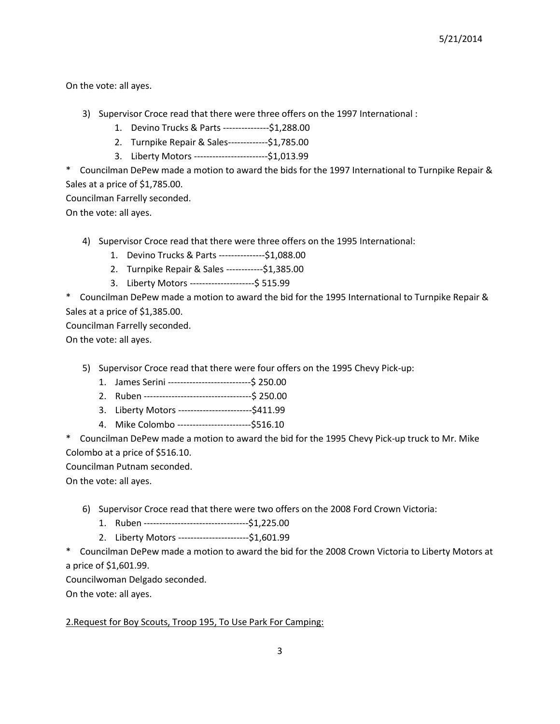On the vote: all ayes.

- 3) Supervisor Croce read that there were three offers on the 1997 International :
	- 1. Devino Trucks & Parts ---------------\$1,288.00
	- 2. Turnpike Repair & Sales-------------\$1,785.00
	- 3. Liberty Motors ------------------------\$1,013.99

\* Councilman DePew made a motion to award the bids for the 1997 International to Turnpike Repair & Sales at a price of \$1,785.00.

Councilman Farrelly seconded.

On the vote: all ayes.

4) Supervisor Croce read that there were three offers on the 1995 International:

- 1. Devino Trucks & Parts ---------------\$1,088.00
- 2. Turnpike Repair & Sales ------------\$1,385.00
- 3. Liberty Motors ---------------------\$ 515.99

\* Councilman DePew made a motion to award the bid for the 1995 International to Turnpike Repair & Sales at a price of \$1,385.00.

Councilman Farrelly seconded.

On the vote: all ayes.

5) Supervisor Croce read that there were four offers on the 1995 Chevy Pick-up:

- 1. James Serini ---------------------------\$ 250.00
- 2. Ruben -----------------------------------\$ 250.00
- 3. Liberty Motors ------------------------\$411.99
- 4. Mike Colombo ------------------------\$516.10

\* Councilman DePew made a motion to award the bid for the 1995 Chevy Pick-up truck to Mr. Mike Colombo at a price of \$516.10.

Councilman Putnam seconded.

On the vote: all ayes.

- 6) Supervisor Croce read that there were two offers on the 2008 Ford Crown Victoria:
	- 1. Ruben ----------------------------------\$1,225.00
	- 2. Liberty Motors -----------------------\$1,601.99

\* Councilman DePew made a motion to award the bid for the 2008 Crown Victoria to Liberty Motors at a price of \$1,601.99.

Councilwoman Delgado seconded.

On the vote: all ayes.

## 2.Request for Boy Scouts, Troop 195, To Use Park For Camping: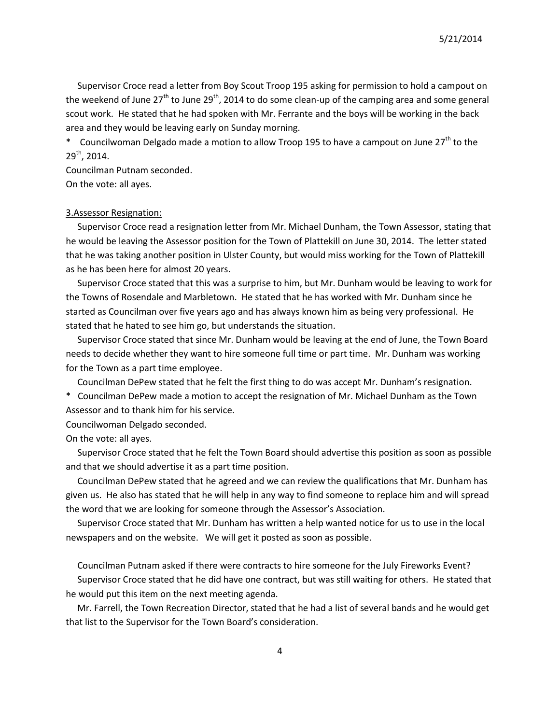Supervisor Croce read a letter from Boy Scout Troop 195 asking for permission to hold a campout on the weekend of June  $27<sup>th</sup>$  to June  $29<sup>th</sup>$ , 2014 to do some clean-up of the camping area and some general scout work. He stated that he had spoken with Mr. Ferrante and the boys will be working in the back area and they would be leaving early on Sunday morning.

\* Councilwoman Delgado made a motion to allow Troop 195 to have a campout on June  $27<sup>th</sup>$  to the 29th, 2014.

Councilman Putnam seconded.

On the vote: all ayes.

### 3.Assessor Resignation:

 Supervisor Croce read a resignation letter from Mr. Michael Dunham, the Town Assessor, stating that he would be leaving the Assessor position for the Town of Plattekill on June 30, 2014. The letter stated that he was taking another position in Ulster County, but would miss working for the Town of Plattekill as he has been here for almost 20 years.

 Supervisor Croce stated that this was a surprise to him, but Mr. Dunham would be leaving to work for the Towns of Rosendale and Marbletown. He stated that he has worked with Mr. Dunham since he started as Councilman over five years ago and has always known him as being very professional. He stated that he hated to see him go, but understands the situation.

 Supervisor Croce stated that since Mr. Dunham would be leaving at the end of June, the Town Board needs to decide whether they want to hire someone full time or part time. Mr. Dunham was working for the Town as a part time employee.

Councilman DePew stated that he felt the first thing to do was accept Mr. Dunham's resignation.

\* Councilman DePew made a motion to accept the resignation of Mr. Michael Dunham as the Town Assessor and to thank him for his service.

Councilwoman Delgado seconded.

On the vote: all ayes.

 Supervisor Croce stated that he felt the Town Board should advertise this position as soon as possible and that we should advertise it as a part time position.

 Councilman DePew stated that he agreed and we can review the qualifications that Mr. Dunham has given us. He also has stated that he will help in any way to find someone to replace him and will spread the word that we are looking for someone through the Assessor's Association.

 Supervisor Croce stated that Mr. Dunham has written a help wanted notice for us to use in the local newspapers and on the website. We will get it posted as soon as possible.

Councilman Putnam asked if there were contracts to hire someone for the July Fireworks Event?

 Supervisor Croce stated that he did have one contract, but was still waiting for others. He stated that he would put this item on the next meeting agenda.

 Mr. Farrell, the Town Recreation Director, stated that he had a list of several bands and he would get that list to the Supervisor for the Town Board's consideration.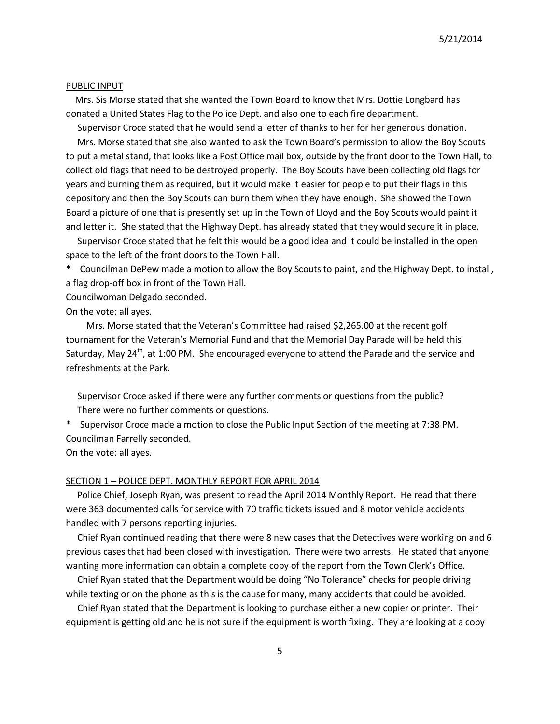5/21/2014

#### PUBLIC INPUT

 Mrs. Sis Morse stated that she wanted the Town Board to know that Mrs. Dottie Longbard has donated a United States Flag to the Police Dept. and also one to each fire department.

Supervisor Croce stated that he would send a letter of thanks to her for her generous donation.

 Mrs. Morse stated that she also wanted to ask the Town Board's permission to allow the Boy Scouts to put a metal stand, that looks like a Post Office mail box, outside by the front door to the Town Hall, to collect old flags that need to be destroyed properly. The Boy Scouts have been collecting old flags for years and burning them as required, but it would make it easier for people to put their flags in this depository and then the Boy Scouts can burn them when they have enough. She showed the Town Board a picture of one that is presently set up in the Town of Lloyd and the Boy Scouts would paint it and letter it. She stated that the Highway Dept. has already stated that they would secure it in place.

 Supervisor Croce stated that he felt this would be a good idea and it could be installed in the open space to the left of the front doors to the Town Hall.

\* Councilman DePew made a motion to allow the Boy Scouts to paint, and the Highway Dept. to install, a flag drop-off box in front of the Town Hall.

Councilwoman Delgado seconded.

On the vote: all ayes.

 Mrs. Morse stated that the Veteran's Committee had raised \$2,265.00 at the recent golf tournament for the Veteran's Memorial Fund and that the Memorial Day Parade will be held this Saturday, May  $24<sup>th</sup>$ , at 1:00 PM. She encouraged everyone to attend the Parade and the service and refreshments at the Park.

 Supervisor Croce asked if there were any further comments or questions from the public? There were no further comments or questions.

\* Supervisor Croce made a motion to close the Public Input Section of the meeting at 7:38 PM. Councilman Farrelly seconded.

On the vote: all ayes.

#### SECTION 1 – POLICE DEPT. MONTHLY REPORT FOR APRIL 2014

 Police Chief, Joseph Ryan, was present to read the April 2014 Monthly Report. He read that there were 363 documented calls for service with 70 traffic tickets issued and 8 motor vehicle accidents handled with 7 persons reporting injuries.

 Chief Ryan continued reading that there were 8 new cases that the Detectives were working on and 6 previous cases that had been closed with investigation. There were two arrests. He stated that anyone wanting more information can obtain a complete copy of the report from the Town Clerk's Office.

 Chief Ryan stated that the Department would be doing "No Tolerance" checks for people driving while texting or on the phone as this is the cause for many, many accidents that could be avoided.

 Chief Ryan stated that the Department is looking to purchase either a new copier or printer. Their equipment is getting old and he is not sure if the equipment is worth fixing. They are looking at a copy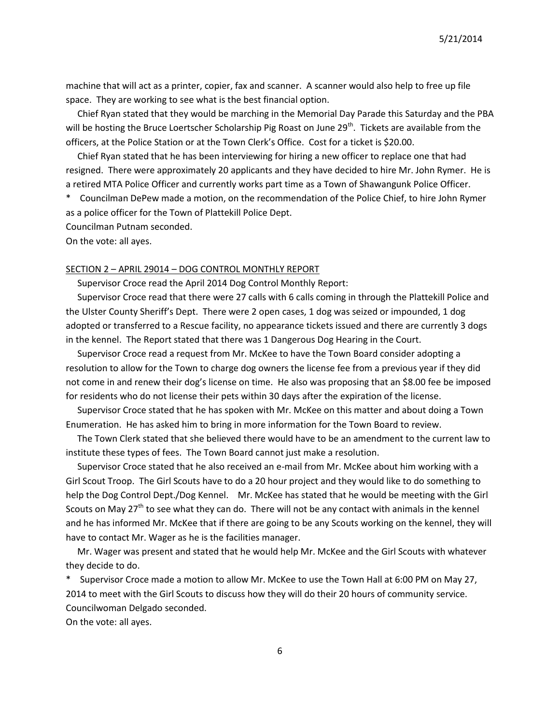machine that will act as a printer, copier, fax and scanner. A scanner would also help to free up file space. They are working to see what is the best financial option.

 Chief Ryan stated that they would be marching in the Memorial Day Parade this Saturday and the PBA will be hosting the Bruce Loertscher Scholarship Pig Roast on June 29<sup>th</sup>. Tickets are available from the officers, at the Police Station or at the Town Clerk's Office. Cost for a ticket is \$20.00.

 Chief Ryan stated that he has been interviewing for hiring a new officer to replace one that had resigned. There were approximately 20 applicants and they have decided to hire Mr. John Rymer. He is a retired MTA Police Officer and currently works part time as a Town of Shawangunk Police Officer.

\* Councilman DePew made a motion, on the recommendation of the Police Chief, to hire John Rymer as a police officer for the Town of Plattekill Police Dept.

Councilman Putnam seconded.

On the vote: all ayes.

#### SECTION 2 – APRIL 29014 – DOG CONTROL MONTHLY REPORT

Supervisor Croce read the April 2014 Dog Control Monthly Report:

 Supervisor Croce read that there were 27 calls with 6 calls coming in through the Plattekill Police and the Ulster County Sheriff's Dept. There were 2 open cases, 1 dog was seized or impounded, 1 dog adopted or transferred to a Rescue facility, no appearance tickets issued and there are currently 3 dogs in the kennel. The Report stated that there was 1 Dangerous Dog Hearing in the Court.

 Supervisor Croce read a request from Mr. McKee to have the Town Board consider adopting a resolution to allow for the Town to charge dog owners the license fee from a previous year if they did not come in and renew their dog's license on time. He also was proposing that an \$8.00 fee be imposed for residents who do not license their pets within 30 days after the expiration of the license.

 Supervisor Croce stated that he has spoken with Mr. McKee on this matter and about doing a Town Enumeration. He has asked him to bring in more information for the Town Board to review.

 The Town Clerk stated that she believed there would have to be an amendment to the current law to institute these types of fees. The Town Board cannot just make a resolution.

 Supervisor Croce stated that he also received an e-mail from Mr. McKee about him working with a Girl Scout Troop. The Girl Scouts have to do a 20 hour project and they would like to do something to help the Dog Control Dept./Dog Kennel. Mr. McKee has stated that he would be meeting with the Girl Scouts on May  $27<sup>th</sup>$  to see what they can do. There will not be any contact with animals in the kennel and he has informed Mr. McKee that if there are going to be any Scouts working on the kennel, they will have to contact Mr. Wager as he is the facilities manager.

 Mr. Wager was present and stated that he would help Mr. McKee and the Girl Scouts with whatever they decide to do.

\* Supervisor Croce made a motion to allow Mr. McKee to use the Town Hall at 6:00 PM on May 27, 2014 to meet with the Girl Scouts to discuss how they will do their 20 hours of community service. Councilwoman Delgado seconded.

On the vote: all ayes.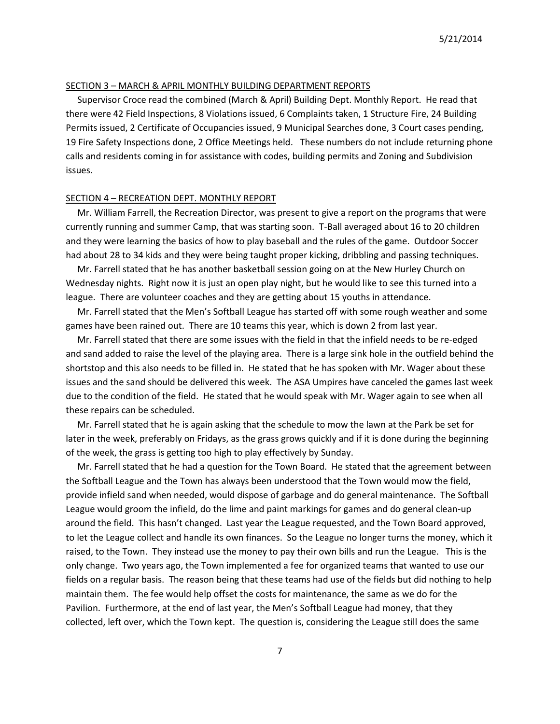### SECTION 3 – MARCH & APRIL MONTHLY BUILDING DEPARTMENT REPORTS

 Supervisor Croce read the combined (March & April) Building Dept. Monthly Report. He read that there were 42 Field Inspections, 8 Violations issued, 6 Complaints taken, 1 Structure Fire, 24 Building Permits issued, 2 Certificate of Occupancies issued, 9 Municipal Searches done, 3 Court cases pending, 19 Fire Safety Inspections done, 2 Office Meetings held. These numbers do not include returning phone calls and residents coming in for assistance with codes, building permits and Zoning and Subdivision issues.

#### SECTION 4 – RECREATION DEPT. MONTHLY REPORT

 Mr. William Farrell, the Recreation Director, was present to give a report on the programs that were currently running and summer Camp, that was starting soon. T-Ball averaged about 16 to 20 children and they were learning the basics of how to play baseball and the rules of the game. Outdoor Soccer had about 28 to 34 kids and they were being taught proper kicking, dribbling and passing techniques.

 Mr. Farrell stated that he has another basketball session going on at the New Hurley Church on Wednesday nights. Right now it is just an open play night, but he would like to see this turned into a league. There are volunteer coaches and they are getting about 15 youths in attendance.

 Mr. Farrell stated that the Men's Softball League has started off with some rough weather and some games have been rained out. There are 10 teams this year, which is down 2 from last year.

 Mr. Farrell stated that there are some issues with the field in that the infield needs to be re-edged and sand added to raise the level of the playing area. There is a large sink hole in the outfield behind the shortstop and this also needs to be filled in. He stated that he has spoken with Mr. Wager about these issues and the sand should be delivered this week. The ASA Umpires have canceled the games last week due to the condition of the field. He stated that he would speak with Mr. Wager again to see when all these repairs can be scheduled.

 Mr. Farrell stated that he is again asking that the schedule to mow the lawn at the Park be set for later in the week, preferably on Fridays, as the grass grows quickly and if it is done during the beginning of the week, the grass is getting too high to play effectively by Sunday.

 Mr. Farrell stated that he had a question for the Town Board. He stated that the agreement between the Softball League and the Town has always been understood that the Town would mow the field, provide infield sand when needed, would dispose of garbage and do general maintenance. The Softball League would groom the infield, do the lime and paint markings for games and do general clean-up around the field. This hasn't changed. Last year the League requested, and the Town Board approved, to let the League collect and handle its own finances. So the League no longer turns the money, which it raised, to the Town. They instead use the money to pay their own bills and run the League. This is the only change. Two years ago, the Town implemented a fee for organized teams that wanted to use our fields on a regular basis. The reason being that these teams had use of the fields but did nothing to help maintain them. The fee would help offset the costs for maintenance, the same as we do for the Pavilion. Furthermore, at the end of last year, the Men's Softball League had money, that they collected, left over, which the Town kept. The question is, considering the League still does the same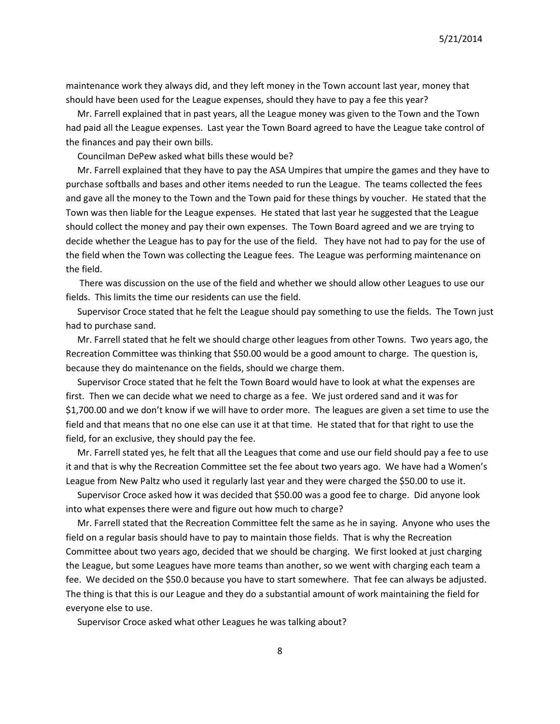maintenance work they always did, and they left money in the Town account last year, money that should have been used for the League expenses, should they have to pay a fee this year?

 Mr. Farrell explained that in past years, all the League money was given to the Town and the Town had paid all the League expenses. Last year the Town Board agreed to have the League take control of the finances and pay their own bills.

Councilman DePew asked what bills these would be?

 Mr. Farrell explained that they have to pay the ASA Umpires that umpire the games and they have to purchase softballs and bases and other items needed to run the League. The teams collected the fees and gave all the money to the Town and the Town paid for these things by voucher. He stated that the Town was then liable for the League expenses. He stated that last year he suggested that the League should collect the money and pay their own expenses. The Town Board agreed and we are trying to decide whether the League has to pay for the use of the field. They have not had to pay for the use of the field when the Town was collecting the League fees. The League was performing maintenance on the field.

 There was discussion on the use of the field and whether we should allow other Leagues to use our fields. This limits the time our residents can use the field.

 Supervisor Croce stated that he felt the League should pay something to use the fields. The Town just had to purchase sand.

 Mr. Farrell stated that he felt we should charge other leagues from other Towns. Two years ago, the Recreation Committee was thinking that \$50.00 would be a good amount to charge. The question is, because they do maintenance on the fields, should we charge them.

 Supervisor Croce stated that he felt the Town Board would have to look at what the expenses are first. Then we can decide what we need to charge as a fee. We just ordered sand and it was for \$1,700.00 and we don't know if we will have to order more. The leagues are given a set time to use the field and that means that no one else can use it at that time. He stated that for that right to use the field, for an exclusive, they should pay the fee.

 Mr. Farrell stated yes, he felt that all the Leagues that come and use our field should pay a fee to use it and that is why the Recreation Committee set the fee about two years ago. We have had a Women's League from New Paltz who used it regularly last year and they were charged the \$50.00 to use it.

 Supervisor Croce asked how it was decided that \$50.00 was a good fee to charge. Did anyone look into what expenses there were and figure out how much to charge?

 Mr. Farrell stated that the Recreation Committee felt the same as he in saying. Anyone who uses the field on a regular basis should have to pay to maintain those fields. That is why the Recreation Committee about two years ago, decided that we should be charging. We first looked at just charging the League, but some Leagues have more teams than another, so we went with charging each team a fee. We decided on the \$50.0 because you have to start somewhere. That fee can always be adjusted. The thing is that this is our League and they do a substantial amount of work maintaining the field for everyone else to use.

Supervisor Croce asked what other Leagues he was talking about?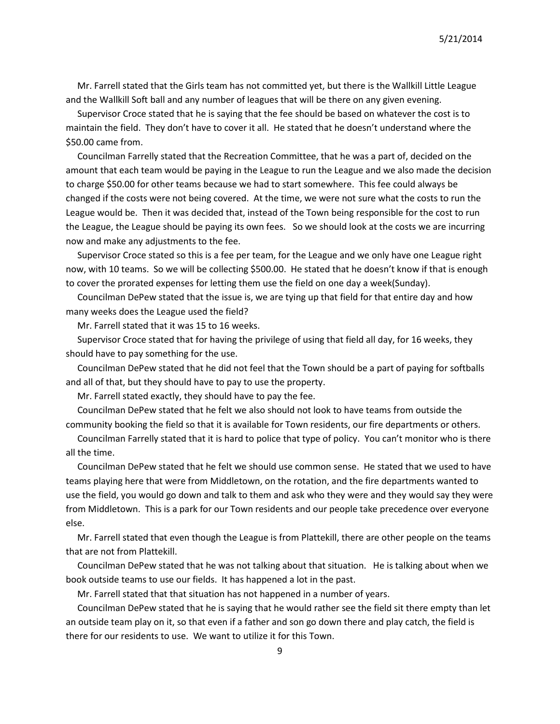Mr. Farrell stated that the Girls team has not committed yet, but there is the Wallkill Little League and the Wallkill Soft ball and any number of leagues that will be there on any given evening.

 Supervisor Croce stated that he is saying that the fee should be based on whatever the cost is to maintain the field. They don't have to cover it all. He stated that he doesn't understand where the \$50.00 came from.

 Councilman Farrelly stated that the Recreation Committee, that he was a part of, decided on the amount that each team would be paying in the League to run the League and we also made the decision to charge \$50.00 for other teams because we had to start somewhere. This fee could always be changed if the costs were not being covered. At the time, we were not sure what the costs to run the League would be. Then it was decided that, instead of the Town being responsible for the cost to run the League, the League should be paying its own fees. So we should look at the costs we are incurring now and make any adjustments to the fee.

 Supervisor Croce stated so this is a fee per team, for the League and we only have one League right now, with 10 teams. So we will be collecting \$500.00. He stated that he doesn't know if that is enough to cover the prorated expenses for letting them use the field on one day a week(Sunday).

 Councilman DePew stated that the issue is, we are tying up that field for that entire day and how many weeks does the League used the field?

Mr. Farrell stated that it was 15 to 16 weeks.

 Supervisor Croce stated that for having the privilege of using that field all day, for 16 weeks, they should have to pay something for the use.

 Councilman DePew stated that he did not feel that the Town should be a part of paying for softballs and all of that, but they should have to pay to use the property.

Mr. Farrell stated exactly, they should have to pay the fee.

 Councilman DePew stated that he felt we also should not look to have teams from outside the community booking the field so that it is available for Town residents, our fire departments or others.

 Councilman Farrelly stated that it is hard to police that type of policy. You can't monitor who is there all the time.

 Councilman DePew stated that he felt we should use common sense. He stated that we used to have teams playing here that were from Middletown, on the rotation, and the fire departments wanted to use the field, you would go down and talk to them and ask who they were and they would say they were from Middletown. This is a park for our Town residents and our people take precedence over everyone else.

 Mr. Farrell stated that even though the League is from Plattekill, there are other people on the teams that are not from Plattekill.

 Councilman DePew stated that he was not talking about that situation. He is talking about when we book outside teams to use our fields. It has happened a lot in the past.

Mr. Farrell stated that that situation has not happened in a number of years.

 Councilman DePew stated that he is saying that he would rather see the field sit there empty than let an outside team play on it, so that even if a father and son go down there and play catch, the field is there for our residents to use. We want to utilize it for this Town.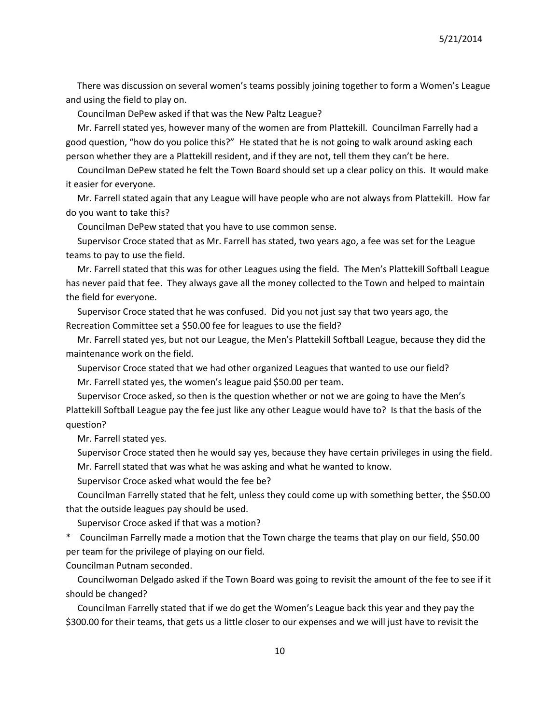There was discussion on several women's teams possibly joining together to form a Women's League and using the field to play on.

Councilman DePew asked if that was the New Paltz League?

 Mr. Farrell stated yes, however many of the women are from Plattekill. Councilman Farrelly had a good question, "how do you police this?" He stated that he is not going to walk around asking each person whether they are a Plattekill resident, and if they are not, tell them they can't be here.

 Councilman DePew stated he felt the Town Board should set up a clear policy on this. It would make it easier for everyone.

 Mr. Farrell stated again that any League will have people who are not always from Plattekill. How far do you want to take this?

Councilman DePew stated that you have to use common sense.

 Supervisor Croce stated that as Mr. Farrell has stated, two years ago, a fee was set for the League teams to pay to use the field.

 Mr. Farrell stated that this was for other Leagues using the field. The Men's Plattekill Softball League has never paid that fee. They always gave all the money collected to the Town and helped to maintain the field for everyone.

 Supervisor Croce stated that he was confused. Did you not just say that two years ago, the Recreation Committee set a \$50.00 fee for leagues to use the field?

 Mr. Farrell stated yes, but not our League, the Men's Plattekill Softball League, because they did the maintenance work on the field.

 Supervisor Croce stated that we had other organized Leagues that wanted to use our field? Mr. Farrell stated yes, the women's league paid \$50.00 per team.

 Supervisor Croce asked, so then is the question whether or not we are going to have the Men's Plattekill Softball League pay the fee just like any other League would have to? Is that the basis of the question?

Mr. Farrell stated yes.

 Supervisor Croce stated then he would say yes, because they have certain privileges in using the field. Mr. Farrell stated that was what he was asking and what he wanted to know.

Supervisor Croce asked what would the fee be?

 Councilman Farrelly stated that he felt, unless they could come up with something better, the \$50.00 that the outside leagues pay should be used.

Supervisor Croce asked if that was a motion?

\* Councilman Farrelly made a motion that the Town charge the teams that play on our field, \$50.00 per team for the privilege of playing on our field.

Councilman Putnam seconded.

 Councilwoman Delgado asked if the Town Board was going to revisit the amount of the fee to see if it should be changed?

 Councilman Farrelly stated that if we do get the Women's League back this year and they pay the \$300.00 for their teams, that gets us a little closer to our expenses and we will just have to revisit the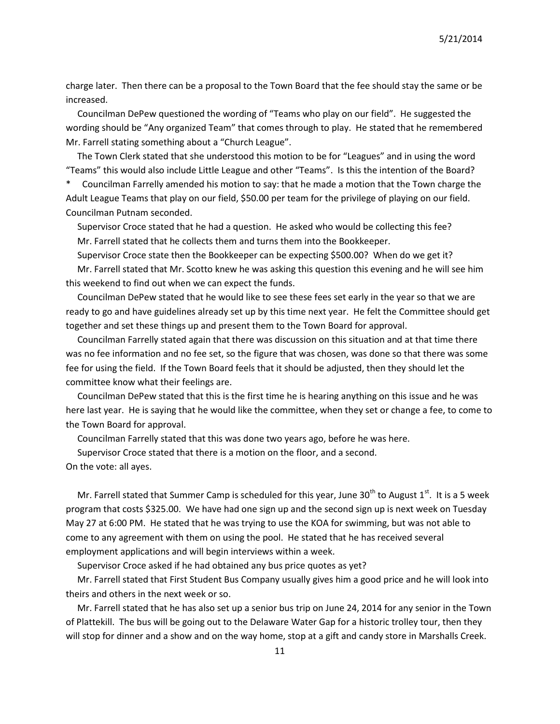5/21/2014

charge later. Then there can be a proposal to the Town Board that the fee should stay the same or be increased.

 Councilman DePew questioned the wording of "Teams who play on our field". He suggested the wording should be "Any organized Team" that comes through to play. He stated that he remembered Mr. Farrell stating something about a "Church League".

 The Town Clerk stated that she understood this motion to be for "Leagues" and in using the word "Teams" this would also include Little League and other "Teams". Is this the intention of the Board?

\* Councilman Farrelly amended his motion to say: that he made a motion that the Town charge the Adult League Teams that play on our field, \$50.00 per team for the privilege of playing on our field. Councilman Putnam seconded.

 Supervisor Croce stated that he had a question. He asked who would be collecting this fee? Mr. Farrell stated that he collects them and turns them into the Bookkeeper.

 Supervisor Croce state then the Bookkeeper can be expecting \$500.00? When do we get it? Mr. Farrell stated that Mr. Scotto knew he was asking this question this evening and he will see him this weekend to find out when we can expect the funds.

 Councilman DePew stated that he would like to see these fees set early in the year so that we are ready to go and have guidelines already set up by this time next year. He felt the Committee should get together and set these things up and present them to the Town Board for approval.

 Councilman Farrelly stated again that there was discussion on this situation and at that time there was no fee information and no fee set, so the figure that was chosen, was done so that there was some fee for using the field. If the Town Board feels that it should be adjusted, then they should let the committee know what their feelings are.

 Councilman DePew stated that this is the first time he is hearing anything on this issue and he was here last year. He is saying that he would like the committee, when they set or change a fee, to come to the Town Board for approval.

Councilman Farrelly stated that this was done two years ago, before he was here.

Supervisor Croce stated that there is a motion on the floor, and a second.

On the vote: all ayes.

Mr. Farrell stated that Summer Camp is scheduled for this year, June 30<sup>th</sup> to August  $1^{st}$ . It is a 5 week program that costs \$325.00. We have had one sign up and the second sign up is next week on Tuesday May 27 at 6:00 PM. He stated that he was trying to use the KOA for swimming, but was not able to come to any agreement with them on using the pool. He stated that he has received several employment applications and will begin interviews within a week.

Supervisor Croce asked if he had obtained any bus price quotes as yet?

 Mr. Farrell stated that First Student Bus Company usually gives him a good price and he will look into theirs and others in the next week or so.

 Mr. Farrell stated that he has also set up a senior bus trip on June 24, 2014 for any senior in the Town of Plattekill. The bus will be going out to the Delaware Water Gap for a historic trolley tour, then they will stop for dinner and a show and on the way home, stop at a gift and candy store in Marshalls Creek.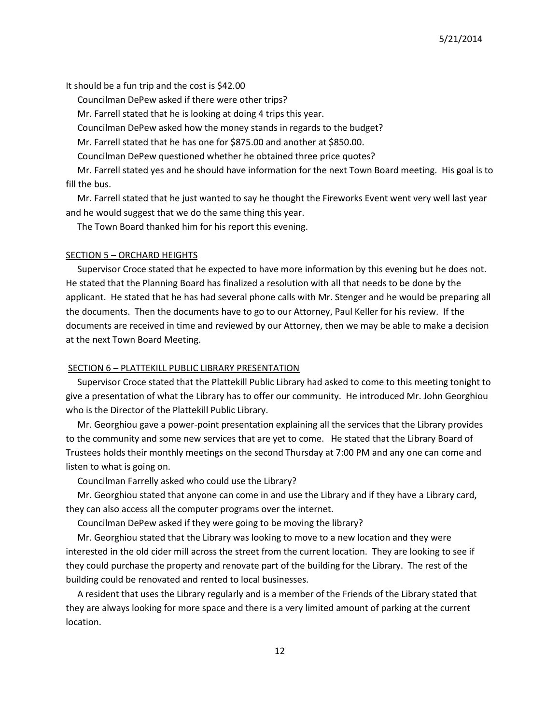It should be a fun trip and the cost is \$42.00

Councilman DePew asked if there were other trips?

Mr. Farrell stated that he is looking at doing 4 trips this year.

Councilman DePew asked how the money stands in regards to the budget?

Mr. Farrell stated that he has one for \$875.00 and another at \$850.00.

Councilman DePew questioned whether he obtained three price quotes?

 Mr. Farrell stated yes and he should have information for the next Town Board meeting. His goal is to fill the bus.

 Mr. Farrell stated that he just wanted to say he thought the Fireworks Event went very well last year and he would suggest that we do the same thing this year.

The Town Board thanked him for his report this evening.

#### SECTION 5 – ORCHARD HEIGHTS

 Supervisor Croce stated that he expected to have more information by this evening but he does not. He stated that the Planning Board has finalized a resolution with all that needs to be done by the applicant. He stated that he has had several phone calls with Mr. Stenger and he would be preparing all the documents. Then the documents have to go to our Attorney, Paul Keller for his review. If the documents are received in time and reviewed by our Attorney, then we may be able to make a decision at the next Town Board Meeting.

#### SECTION 6 – PLATTEKILL PUBLIC LIBRARY PRESENTATION

 Supervisor Croce stated that the Plattekill Public Library had asked to come to this meeting tonight to give a presentation of what the Library has to offer our community. He introduced Mr. John Georghiou who is the Director of the Plattekill Public Library.

 Mr. Georghiou gave a power-point presentation explaining all the services that the Library provides to the community and some new services that are yet to come. He stated that the Library Board of Trustees holds their monthly meetings on the second Thursday at 7:00 PM and any one can come and listen to what is going on.

Councilman Farrelly asked who could use the Library?

 Mr. Georghiou stated that anyone can come in and use the Library and if they have a Library card, they can also access all the computer programs over the internet.

Councilman DePew asked if they were going to be moving the library?

 Mr. Georghiou stated that the Library was looking to move to a new location and they were interested in the old cider mill across the street from the current location. They are looking to see if they could purchase the property and renovate part of the building for the Library. The rest of the building could be renovated and rented to local businesses.

 A resident that uses the Library regularly and is a member of the Friends of the Library stated that they are always looking for more space and there is a very limited amount of parking at the current location.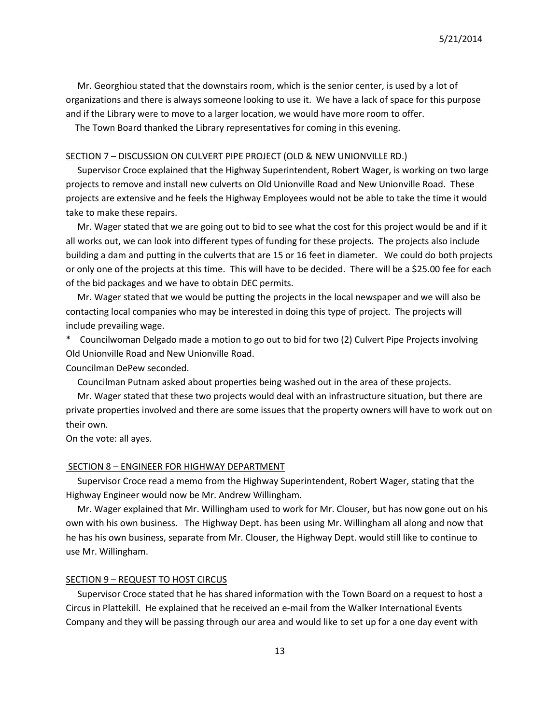Mr. Georghiou stated that the downstairs room, which is the senior center, is used by a lot of organizations and there is always someone looking to use it. We have a lack of space for this purpose and if the Library were to move to a larger location, we would have more room to offer.

The Town Board thanked the Library representatives for coming in this evening.

## SECTION 7 – DISCUSSION ON CULVERT PIPE PROJECT (OLD & NEW UNIONVILLE RD.)

 Supervisor Croce explained that the Highway Superintendent, Robert Wager, is working on two large projects to remove and install new culverts on Old Unionville Road and New Unionville Road. These projects are extensive and he feels the Highway Employees would not be able to take the time it would take to make these repairs.

 Mr. Wager stated that we are going out to bid to see what the cost for this project would be and if it all works out, we can look into different types of funding for these projects. The projects also include building a dam and putting in the culverts that are 15 or 16 feet in diameter. We could do both projects or only one of the projects at this time. This will have to be decided. There will be a \$25.00 fee for each of the bid packages and we have to obtain DEC permits.

 Mr. Wager stated that we would be putting the projects in the local newspaper and we will also be contacting local companies who may be interested in doing this type of project. The projects will include prevailing wage.

\* Councilwoman Delgado made a motion to go out to bid for two (2) Culvert Pipe Projects involving Old Unionville Road and New Unionville Road.

Councilman DePew seconded.

Councilman Putnam asked about properties being washed out in the area of these projects.

 Mr. Wager stated that these two projects would deal with an infrastructure situation, but there are private properties involved and there are some issues that the property owners will have to work out on their own.

On the vote: all ayes.

## SECTION 8 – ENGINEER FOR HIGHWAY DEPARTMENT

 Supervisor Croce read a memo from the Highway Superintendent, Robert Wager, stating that the Highway Engineer would now be Mr. Andrew Willingham.

 Mr. Wager explained that Mr. Willingham used to work for Mr. Clouser, but has now gone out on his own with his own business. The Highway Dept. has been using Mr. Willingham all along and now that he has his own business, separate from Mr. Clouser, the Highway Dept. would still like to continue to use Mr. Willingham.

#### SECTION 9 – REQUEST TO HOST CIRCUS

 Supervisor Croce stated that he has shared information with the Town Board on a request to host a Circus in Plattekill. He explained that he received an e-mail from the Walker International Events Company and they will be passing through our area and would like to set up for a one day event with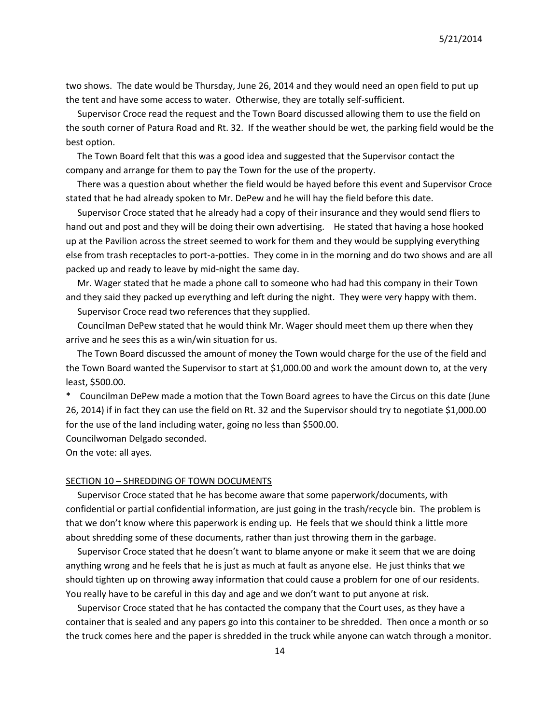two shows. The date would be Thursday, June 26, 2014 and they would need an open field to put up the tent and have some access to water. Otherwise, they are totally self-sufficient.

 Supervisor Croce read the request and the Town Board discussed allowing them to use the field on the south corner of Patura Road and Rt. 32. If the weather should be wet, the parking field would be the best option.

 The Town Board felt that this was a good idea and suggested that the Supervisor contact the company and arrange for them to pay the Town for the use of the property.

 There was a question about whether the field would be hayed before this event and Supervisor Croce stated that he had already spoken to Mr. DePew and he will hay the field before this date.

 Supervisor Croce stated that he already had a copy of their insurance and they would send fliers to hand out and post and they will be doing their own advertising. He stated that having a hose hooked up at the Pavilion across the street seemed to work for them and they would be supplying everything else from trash receptacles to port-a-potties. They come in in the morning and do two shows and are all packed up and ready to leave by mid-night the same day.

 Mr. Wager stated that he made a phone call to someone who had had this company in their Town and they said they packed up everything and left during the night. They were very happy with them.

Supervisor Croce read two references that they supplied.

 Councilman DePew stated that he would think Mr. Wager should meet them up there when they arrive and he sees this as a win/win situation for us.

 The Town Board discussed the amount of money the Town would charge for the use of the field and the Town Board wanted the Supervisor to start at \$1,000.00 and work the amount down to, at the very least, \$500.00.

\* Councilman DePew made a motion that the Town Board agrees to have the Circus on this date (June 26, 2014) if in fact they can use the field on Rt. 32 and the Supervisor should try to negotiate \$1,000.00 for the use of the land including water, going no less than \$500.00.

Councilwoman Delgado seconded.

On the vote: all ayes.

#### SECTION 10 – SHREDDING OF TOWN DOCUMENTS

 Supervisor Croce stated that he has become aware that some paperwork/documents, with confidential or partial confidential information, are just going in the trash/recycle bin. The problem is that we don't know where this paperwork is ending up. He feels that we should think a little more about shredding some of these documents, rather than just throwing them in the garbage.

 Supervisor Croce stated that he doesn't want to blame anyone or make it seem that we are doing anything wrong and he feels that he is just as much at fault as anyone else. He just thinks that we should tighten up on throwing away information that could cause a problem for one of our residents. You really have to be careful in this day and age and we don't want to put anyone at risk.

 Supervisor Croce stated that he has contacted the company that the Court uses, as they have a container that is sealed and any papers go into this container to be shredded. Then once a month or so the truck comes here and the paper is shredded in the truck while anyone can watch through a monitor.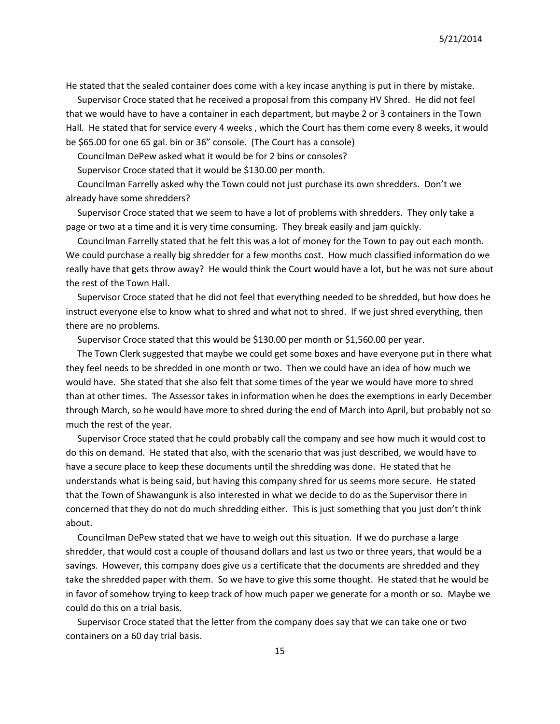He stated that the sealed container does come with a key incase anything is put in there by mistake.

 Supervisor Croce stated that he received a proposal from this company HV Shred. He did not feel that we would have to have a container in each department, but maybe 2 or 3 containers in the Town Hall. He stated that for service every 4 weeks , which the Court has them come every 8 weeks, it would be \$65.00 for one 65 gal. bin or 36" console. (The Court has a console)

Councilman DePew asked what it would be for 2 bins or consoles?

Supervisor Croce stated that it would be \$130.00 per month.

 Councilman Farrelly asked why the Town could not just purchase its own shredders. Don't we already have some shredders?

 Supervisor Croce stated that we seem to have a lot of problems with shredders. They only take a page or two at a time and it is very time consuming. They break easily and jam quickly.

 Councilman Farrelly stated that he felt this was a lot of money for the Town to pay out each month. We could purchase a really big shredder for a few months cost. How much classified information do we really have that gets throw away? He would think the Court would have a lot, but he was not sure about the rest of the Town Hall.

 Supervisor Croce stated that he did not feel that everything needed to be shredded, but how does he instruct everyone else to know what to shred and what not to shred. If we just shred everything, then there are no problems.

Supervisor Croce stated that this would be \$130.00 per month or \$1,560.00 per year.

 The Town Clerk suggested that maybe we could get some boxes and have everyone put in there what they feel needs to be shredded in one month or two. Then we could have an idea of how much we would have. She stated that she also felt that some times of the year we would have more to shred than at other times. The Assessor takes in information when he does the exemptions in early December through March, so he would have more to shred during the end of March into April, but probably not so much the rest of the year.

 Supervisor Croce stated that he could probably call the company and see how much it would cost to do this on demand. He stated that also, with the scenario that was just described, we would have to have a secure place to keep these documents until the shredding was done. He stated that he understands what is being said, but having this company shred for us seems more secure. He stated that the Town of Shawangunk is also interested in what we decide to do as the Supervisor there in concerned that they do not do much shredding either. This is just something that you just don't think about.

 Councilman DePew stated that we have to weigh out this situation. If we do purchase a large shredder, that would cost a couple of thousand dollars and last us two or three years, that would be a savings. However, this company does give us a certificate that the documents are shredded and they take the shredded paper with them. So we have to give this some thought. He stated that he would be in favor of somehow trying to keep track of how much paper we generate for a month or so. Maybe we could do this on a trial basis.

 Supervisor Croce stated that the letter from the company does say that we can take one or two containers on a 60 day trial basis.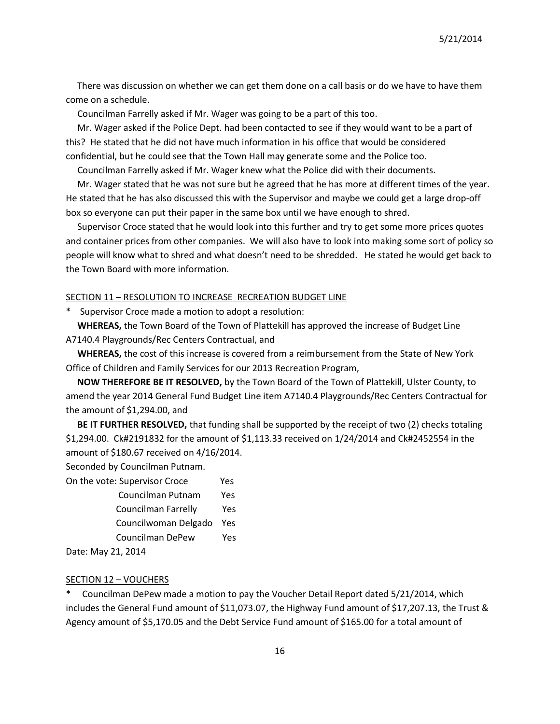There was discussion on whether we can get them done on a call basis or do we have to have them come on a schedule.

Councilman Farrelly asked if Mr. Wager was going to be a part of this too.

 Mr. Wager asked if the Police Dept. had been contacted to see if they would want to be a part of this? He stated that he did not have much information in his office that would be considered confidential, but he could see that the Town Hall may generate some and the Police too.

Councilman Farrelly asked if Mr. Wager knew what the Police did with their documents.

 Mr. Wager stated that he was not sure but he agreed that he has more at different times of the year. He stated that he has also discussed this with the Supervisor and maybe we could get a large drop-off box so everyone can put their paper in the same box until we have enough to shred.

 Supervisor Croce stated that he would look into this further and try to get some more prices quotes and container prices from other companies. We will also have to look into making some sort of policy so people will know what to shred and what doesn't need to be shredded. He stated he would get back to the Town Board with more information.

## SECTION 11 – RESOLUTION TO INCREASE RECREATION BUDGET LINE

\* Supervisor Croce made a motion to adopt a resolution:

 **WHEREAS,** the Town Board of the Town of Plattekill has approved the increase of Budget Line A7140.4 Playgrounds/Rec Centers Contractual, and

 **WHEREAS,** the cost of this increase is covered from a reimbursement from the State of New York Office of Children and Family Services for our 2013 Recreation Program,

 **NOW THEREFORE BE IT RESOLVED,** by the Town Board of the Town of Plattekill, Ulster County, to amend the year 2014 General Fund Budget Line item A7140.4 Playgrounds/Rec Centers Contractual for the amount of \$1,294.00, and

 **BE IT FURTHER RESOLVED,** that funding shall be supported by the receipt of two (2) checks totaling \$1,294.00. Ck#2191832 for the amount of \$1,113.33 received on 1/24/2014 and Ck#2452554 in the amount of \$180.67 received on 4/16/2014.

Seconded by Councilman Putnam.

| On the vote: Supervisor Croce | Yes  |
|-------------------------------|------|
| Councilman Putnam             | Yes  |
| Councilman Farrelly           | Yes. |
| Councilwoman Delgado          | Yes  |
| Councilman DePew              | Yes  |
|                               |      |

Date: May 21, 2014

# SECTION 12 – VOUCHERS

Councilman DePew made a motion to pay the Voucher Detail Report dated 5/21/2014, which includes the General Fund amount of \$11,073.07, the Highway Fund amount of \$17,207.13, the Trust & Agency amount of \$5,170.05 and the Debt Service Fund amount of \$165.00 for a total amount of